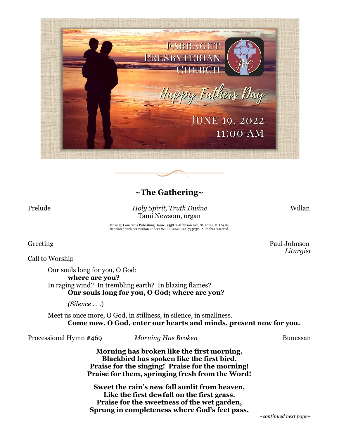

# **~The Gathering~**

Prelude *Holy Spirit, Truth Divine* Willan Tami Newsom, organ

*Liturgist*

Music © Concordia Publishing House, 3558 S. Jefferson Ave, St. Louis, MO 63118 Reprinted with permission under ONE LICENSE #A-735032. All rights reserved.

Greeting Paul Johnson

Call to Worship

Our souls long for you, O God; **where are you?** In raging wind? In trembling earth? In blazing flames? **Our souls long for you, O God; where are you?**

*(Silence* . . .)

Meet us once more, O God, in stillness, in silence, in smallness. **Come now, O God, enter our hearts and minds, present now for you.**

Processional Hymn #469 *Morning Has Broken* **Bunessan** 

**Morning Has Broken** 

**Morning has broken like the first morning, Blackbird has spoken like the first bird. Praise for the singing! Praise for the morning! Praise for them, springing fresh from the Word!**

**Sweet the rain's new fall sunlit from heaven, Like the first dewfall on the first grass. Praise for the sweetness of the wet garden, Sprung in completeness where God's feet pass.**

*~continued next page~*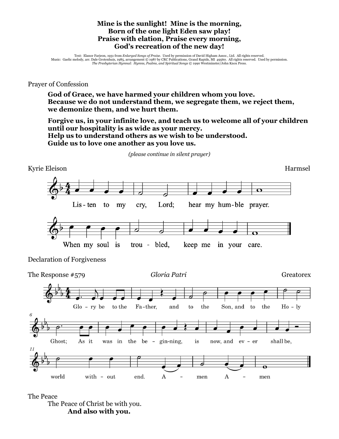#### **Mine is the sunlight! Mine is the morning, Born of the one light Eden saw play! Praise with elation, Praise every morning, God's recreation of the new day!**

Text: Elanor Farjeon, 1931 from *Enlarged Songs of Praise.* Used by permission of David Higham Assoc., Ltd. All rights reserved.<br>Music: Gaelic melody, arr. Dale Grotenhuis, 1985, arrangement © 1987 by CRC Publications, Gra

Prayer of Confession

**God of Grace, we have harmed your children whom you love. Because we do not understand them, we segregate them, we reject them, we demonize them, and we hurt them.**

**Forgive us, in your infinite love, and teach us to welcome all of your children until our hospitality is as wide as your mercy. Help us to understand others as we wish to be understood. Guide us to love one another as you love us.**

*(please continue in silent prayer)*

Kyrie Eleison Harmsel  $\overline{\mathbf{O}}$ hear my hum-ble prayer.  $List-ten$ Lord: to my cry, When my soul is trou - bled, keep me in your care.

Declaration of Forgiveness

The Response #579 *Gloria Patri Gloria Patri Greatorex* Glo - ry be to the Fa-ther, Son, and to and to the the  $Ho - Iv$ Ghost: As it was in the be  $-$  gin-ning, is now, and  $ev - er$ shall be, world with - out  $end.$ Α Α men men

The Peace

The Peace of Christ be with you. **And also with you.**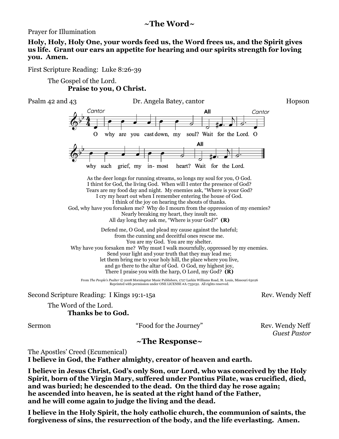## **~The Word~**

Prayer for Illumination

**Holy, Holy, Holy One, your words feed us, the Word frees us, and the Spirit gives us life. Grant our ears an appetite for hearing and our spirits strength for loving you. Amen.**

First Scripture Reading: Luke 8:26-39

The Gospel of the Lord. **Praise to you, O Christ.**



**I believe in God, the Father almighty, creator of heaven and earth.**

**I believe in Jesus Christ, God's only Son, our Lord, who was conceived by the Holy Spirit, born of the Virgin Mary, suffered under Pontius Pilate, was crucified, died, and was buried; he descended to the dead. On the third day he rose again; he ascended into heaven, he is seated at the right hand of the Father, and he will come again to judge the living and the dead.**

**I believe in the Holy Spirit, the holy catholic church, the communion of saints, the forgiveness of sins, the resurrection of the body, and the life everlasting. Amen.**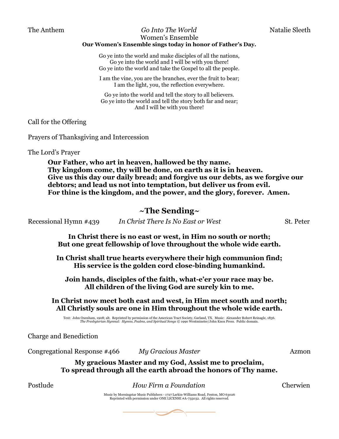#### The Anthem *Go Into The World* Natalie Sleeth Women's Ensemble **Our Women's Ensemble sings today in honor of Father's Day.**

Go ye into the world and make disciples of all the nations, Go ye into the world and I will be with you there! Go ye into the world and take the Gospel to all the people.

I am the vine, you are the branches, ever the fruit to bear; I am the light, you, the reflection everywhere.

Go ye into the world and tell the story to all believers. Go ye into the world and tell the story both far and near; And I will be with you there!

Call for the Offering

Prayers of Thanksgiving and Intercession

The Lord's Prayer

**Our Father, who art in heaven, hallowed be thy name. Thy kingdom come, thy will be done, on earth as it is in heaven. Give us this day our daily bread; and forgive us our debts, as we forgive our debtors; and lead us not into temptation, but deliver us from evil. For thine is the kingdom, and the power, and the glory, forever. Amen.**

# **~The Sending~**

Recessional Hymn #439 *In Christ There Is No East or West* St. Peter

**In Christ there is no east or west, in Him no south or north; But one great fellowship of love throughout the whole wide earth.**

**In Christ shall true hearts everywhere their high communion find; His service is the golden cord close-binding humankind.**

**Join hands, disciples of the faith, what-e'er your race may be. All children of the living God are surely kin to me.**

**In Christ now meet both east and west, in Him meet south and north; All Christly souls are one in Him throughout the whole wide earth.**

Text: John Oxenham, 1908; alt. Reprinted by permission of the American Tract Society, Garland, TX. Music: Alexander Robert Reinagle, 1836. *The Presbyterian Hymnal: Hymns, Psalms, and Spiritual Songs* © 1990 Westminster/John Knox Press. Public domain.

Charge and Benediction

Congregational Response #466 *My Gracious Master* Azmon

**My gracious Master and my God, Assist me to proclaim, To spread through all the earth abroad the honors of Thy name.**

Postlude *How Firm a Foundation* Cherwien

Music by Morningstar Music Publishers - 1727 Larkin-Williams Road, Fenton, MO 63026 Reprinted with permission under ONE LICENSE #A-735032. All rights reserved.

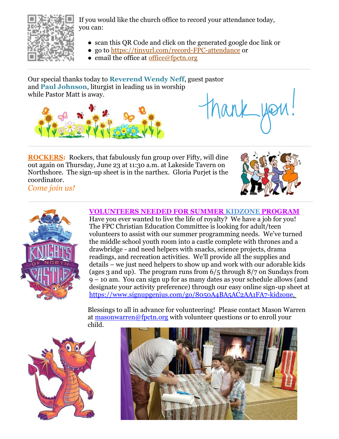

If you would like the church office to record your attendance today, you can:

- scan this QR Code and click on the generated google doc link or
- go to<https://tinyurl.com/record-FPC-attendance> or
- $\bullet$  email the office at [office@fpctn.org](mailto:office@fpctn.org)

Our special thanks today to **Reverend Wendy Neff**, guest pastor and **Paul Johnson**, liturgist in leading us in worship while Pastor Matt is away.



**ROCKERS:** Rockers, that fabulously fun group over Fifty, will dine out again on Thursday, June 23 at 11:30 a.m. at Lakeside Tavern on Northshore. The sign-up sheet is in the narthex. Gloria Purjet is the coordinator. *Come join us!*





## **VOLUNTEERS NEEDED FOR SUMMER KIDZONE PROGRAM**

Have you ever wanted to live the life of royalty? We have a job for you! The FPC Christian Education Committee is looking for adult/teen volunteers to assist with our summer programming needs. We've turned the middle school youth room into a castle complete with thrones and a drawbridge - and need helpers with snacks, science projects, drama readings, and recreation activities. We'll provide all the supplies and details – we just need helpers to show up and work with our adorable kids (ages 3 and up). The program runs from  $6/5$  through  $8/7$  on Sundays from 9 – 10 am. You can sign up for as many dates as your schedule allows (and designate your activity preference) through our easy online sign-up sheet at [https://www.signupgenius.com/go/8050A4BA5AC2AA1FA7-kidzone.](https://www.signupgenius.com/go/8050A4BA5AC2AA1FA7-kidzone)

Blessings to all in advance for volunteering! Please contact Mason Warren at [masonwarren@fpctn.org](mailto:masonwarren@fpctn.org) with volunteer questions or to enroll your child.



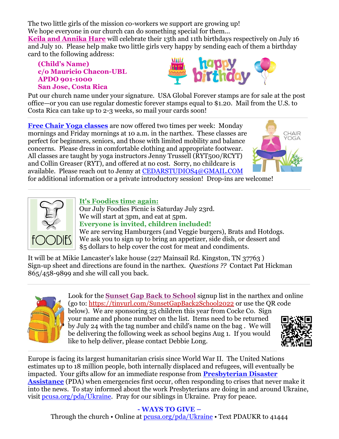The two little girls of the mission co-workers we support are growing up! We hope everyone in our church can do something special for them... **Keila and Annika Hare** will celebrate their 13th and 11th birthdays respectively on July 16 and July 10. Please help make two little girls very happy by sending each of them a birthday card to the following address:

#### **(Child's Name) c/o Mauricio Chacon-UBL APDO 901-1000 San Jose, Costa Rica**



Put our church name under your signature. USA Global Forever stamps are for sale at the post office—or you can use regular domestic forever stamps equal to \$1.20. Mail from the U.S. to Costa Rica can take up to 2-3 weeks, so mail your cards soon!

**Free Chair Yoga classes** are now offered two times per week: Monday mornings and Friday mornings at 10 a.m. in the narthex. These classes are perfect for beginners, seniors, and those with limited mobility and balance concerns. Please dress in comfortable clothing and appropriate footwear. All classes are taught by yoga instructors Jenny Trussell (RYT500/RCYT) and Collin Greaser (RYT), and offered at no cost. Sorry, no childcare is available. Please reach out to Jenny at [CEDARSTUDIOS4@GMAIL.COM](mailto:CedarStudios4@gmail.com)



for additional information or a private introductory session! Drop-ins are welcome!



#### **It's Foodies time again:**

Our July Foodies Picnic is Saturday July 23rd. We will start at 3pm, and eat at 5pm. **Everyone is invited, children included!**

We are serving Hamburgers (and Veggie burgers), Brats and Hotdogs. We ask you to sign up to bring an appetizer, side dish, or dessert and \$5 dollars to help cover the cost for meat and condiments.

It will be at Mikie Lancaster's lake house (227 Mainsail Rd. Kingston, TN 37763 ) Sign-up sheet and directions are found in the narthex. *Questions ??* Contact Pat Hickman 865/458-9899 and she will call you back.



Look for the **Sunset Gap Back to School** signup list in the narthex and online (go to:<https://tinyurl.com/SunsetGapBack2School2022> or use the QR code below). We are sponsoring 25 children this year from Cocke Co. Sign

your name and phone number on the list. Items need to be returned by July 24 with the tag number and child's name on the bag . We will be delivering the following week as school begins Aug 1. If you would like to help deliver, please contact Debbie Long.



Europe is facing its largest humanitarian crisis since World War II. The United Nations estimates up to 18 million people, both internally displaced and refugees, will eventually be impacted. Your gifts allow for an immediate response from **Presbyterian Disaster Assistance** (PDA) when emergencies first occur, often responding to crises that never make it into the news. To stay informed about the work Presbyterians are doing in and around Ukraine, visit [pcusa.org/pda/Ukraine.](https://pcusa.org/pda/Ukraine) Pray for our siblings in Ukraine. Pray for peace.

## **- WAYS TO GIVE –**

Through the church • Online at [pcusa.org/pda/Ukraine](https://pcusa.org/pda/Ukraine) • Text PDAUKR to 41444